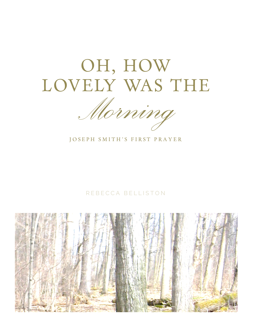# OH, HOW LOVELY WAS THE

*Morning*

JOSEPH SMITH'S FIRST PRAYER

#### REBECCA BELLISTON

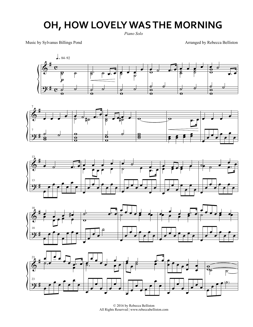### **OH, HOW LOVELY WAS THE MORNING**

*Piano Solo*

Music by Sylvanus Billings Pond

Arranged by Rebecca Belliston











© 2016 by Rebecca Belliston All Rights Reserved | www.rebeccabelliston.com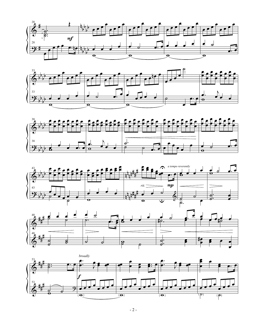









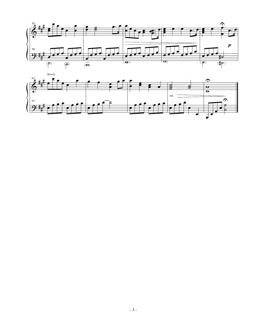